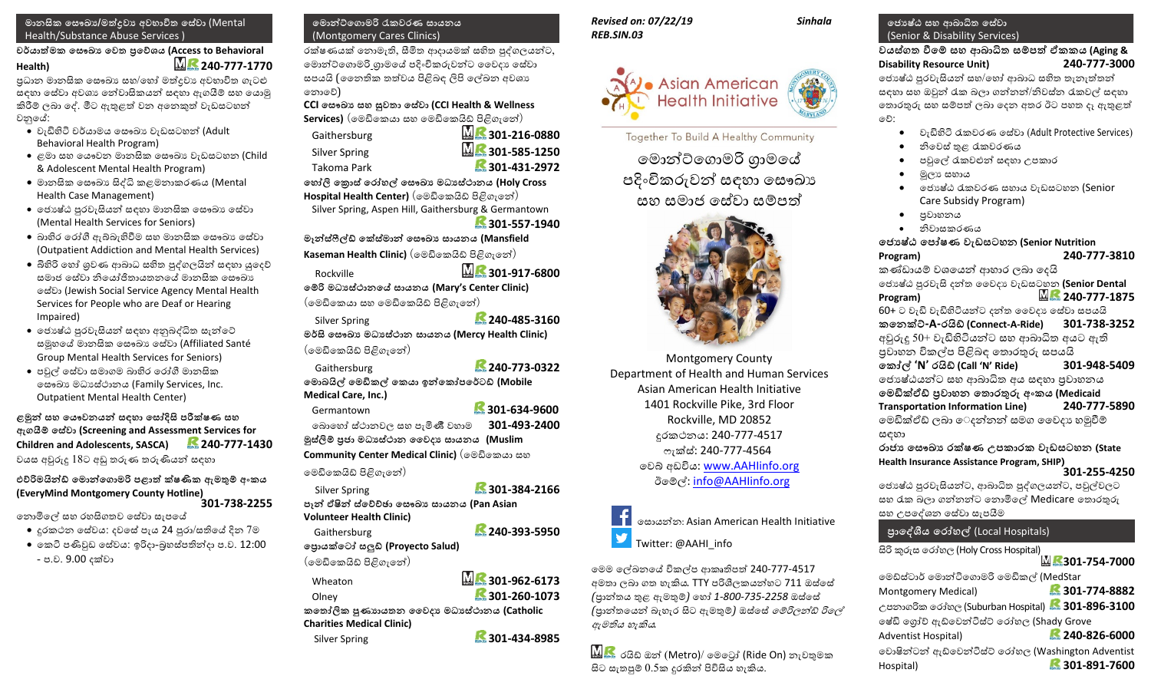#### **මානසික ස ෞඛ්ය/මත්රෙය අෙභාවිත ස ේො** (Mental Health/Substance Abuse Services )

**චර්යාත්මක ස ෞඛ්ය සෙත ප්රසේශය (Access to Behavioral Health) 240-777-1770**

පුධාන මානසික සෞඛා සහ/හෝ මත්දවා අවභාවිත ගැටළු .<br>සඳහා සේවා අවශා තේවාසිකයන් සඳහා ඇගයීම් සහ යොමු කිරීම් ලබා දේ. මීට ඇතුළත් වන අනෙකුත් වැඩසටහන් වනුයේ:

- $\overline{\phantom{a}}$ වැඩිහිටි චර්යාමය සෞඛා වැඩසටහන් (Adult Behavioral Health Program)
- $\bullet$  ළමා සහ යෞවන මානසික සෞඛා වැඩසටහන (Child & Adolescent Mental Health Program)
- $\bullet$  මානසික සෞඛා සිද්ධි කළමනාකරණය (Mental Health Case Management)
- ජොෂ්ඨ පුරවැසියන් සඳහා මානසික සෞඛා සේවා (Mental Health Services for Seniors)
- $\bullet$  බාහිර රෝගී ඇබ්බැහිවීම සහ මානසික සෞඛාා සේවා (Outpatient Addiction and Mental Health Services)
- බිහිරි හෝ ශුවණ ආබාධ සහිත පුද්ගලයින් සඳහා යුදෙව් සමාජ සේවා නියෝජිතායතනයේ මානසික සෞඛා ස ේව්ා (Jewish Social Service Agency Mental Health Services for People who are Deaf or Hearing Impaired)
- ජොෂ්ඨ පුරවැසියන් සඳහා අනුබද්ධිත සැන්ටේ සමූහයේ මානසික සෞඛා සේවා (Affiliated Santé Group Mental Health Services for Seniors)
- පවුල් ස ේව්ා මාගම බාහිර සරෝගී මානසික ස ෞඛ්ය මධය ේථානය (Family Services, Inc. Outpatient Mental Health Center)

**ළමුන් හ සයෞෙනයන් ඳහා ස ෝදිසි පරීක්ෂණ හ ඇගයීම් ස ේො (Screening and Assessment Services for Children and Adolescents, SASCA) 240-777-1430** ව්ය අවුරුදු 18ට අඩු තරුණ තරුණියේ ඳහා

**එේිමයින්් සමාන්සගාමි පළාත් ක්ෂණික ඇමතුම් අංකය (EveryMind Montgomery County Hotline) 301-738-2255**

තොමිලේ සහ රහසිගතව සේවා සැපයේ

- $\bullet$  දුරකථන සේවය: දවසේ පැය 24 පුරා/සතියේ දින  $7$ ම
- $\bullet$  කෙටි පණිවුඩ සේවය: ඉරිදා-බුහස්පතින්දා ප.ව.  $12:00$ - ප.ව්. 9.00 ෙක්ව්ා

#### **සමාන්්සගාමි රැකෙ ණ ායනය** (Montgomery Cares Clinics)

රක්ෂණයක් සනාමැති, සීමිත ආොයමක් හිත පුේගලයේට, මොන්ට්ගොමරි ගාමයේ පදිංචිකරුවන්ට වෛදා සේවා සපයයි (නෛතික තත්වය පිළිබඳ ලිපි ලේඛන අවශා සනාසව්)

**CCI ස ෞඛ්ය හ සුෙතා ස ේො (CCI Health & Wellness**   $\textbf{Services}$ )  $(\textcolor{red}{\circ}$ මඩිකෙයා සහ මෙඩිකෙයිඩ් පිළිගැනේ)

Gaithersburg **301-216-0880** Silver Spring **301-585-1250** 

Takoma Park **301-431-2972**

**සහෝලි සරා ේ ස ෝහල් ස ෞඛ්ය මධ්ය ේථානය (Holy Cross Hospital Health Center)** (සමඩිසකයිඩ් පිළිගැසේ) Silver Spring, Aspen Hill, Gaithersburg & Germantown

**801-557-1940** 

**මෑන් ේීල්් සක් ේමාන් ස ෞඛ්ය ායනය (Mansfield Kaseman Health Clinic)** (සමඩිසකයිඩ් පිළිගැසේ)

Rockville **301-917-6800 සම්ි මධ්ය ේථානසේ ායනය (Mary's Center Clinic)**  $($ මෙඩිකෙයා සහ මෙඩිකෙයිඩ් පිළිගැනේ $)$ 

Silver Spring **240-485-3160 මර්සි ස ෞඛ්ය මධ්ය ේථාන ායනය (Mercy Health Clinic)** (සමඩිසකයිඩ් පිළිගැසේ)

Gaithersburg **240-773-0322 සමාබයිල් සමඩිකල් සකයා ඉන්සකෝපසර්ට් (Mobile Medical Care, Inc.)**

Germantown **301-634-9600**

සබාසහෝ ේථානව්ල හ පැමිර්ණි ව්හාම **301-493-2400 මු ේලිම් ප්රජා මධ්ය ේථාන වෙද්ය ායනය (Muslim Community Center Medical Clinic)** (සමඩිසකයා හ

සමඩිසකයිඩ් පිළිගැසේ)

**පෑන් ඒෂින් ේසේච්ඡා ස ෞඛ්ය ායනය (Pan Asian Volunteer Health Clinic)**

(සමඩිසකයිඩ් පිළිගැසේ)

Olney **301-260-1073**

**කසතෝලික පුණයායතන වෙද්ය මධ්ය ේථානය (Catholic Charities Medical Clinic)**

*Revised on: 07/22/19 Sinhala REB.SIN.03*



Together To Build A Healthy Community

මොන්ට්ගොමරි ගාමයේ පදිංචිකරුවන් සඳහා සෞඛා සහ සමාජ සේවා සම්පත්



Montgomery County Department of Health and Human Services Asian American Health Initiative 1401 Rockville Pike, 3rd Floor Rockville, MD 20852 දුරකථනය: 240-777-4517 ෆැක් ේ: 240-777-4564 සව්බ් අඩවිය: [www.AAHIinfo.org](http://www.aahiinfo.org/) ඊසම්ල්: [info@AAHIinfo.org](mailto:info@AAHIinfo.org)



 ස ායේන: Asian American Health Initiative Twitter: @AAHI\_info

සමම සල්ඛ්නසේ විකල්ප ආකෘතිපත්ද් 240-777-4517 අමතා ලබා ගත හැකිය. TTY පරිශීලකයන්හට 711 ඔස්සේ *(*ප්රාේතය තුළ ඇමතුම්*)* සහෝ *1-800-735-2258* ඔ ේස ේ  $($ පාන්තයෙන් බැහැර සිට ඇමතුම් $)$  ඔස්සේ *මෙරිලන්ඩ් රිලේ* ඇමතිය හැකිය.

රයිඩ් ඔේ (Metro)/ සමසරෝ (Ride On) නැව්තුමක සිට සැතපුම්  $0.5$ ක දුරකින් පිවිසිය හැකිය.

## **සජයෂේඨ හ ආබාධිත ස ේො**  (Senior & Disability Services)

**ෙය ේගත වීසම් හ ආබාධිත ම්පත් ඒකකය (Aging & Disability Resource Unit) 240-777-3000**

සයයෂේඨ පුරව්ැසියේ හ/සහෝ ආබාධ හිත තැනැත්ද්තේ සඳහා සහ ඔවුන් රැක බලා ගන්නන්/නිවස්න රැකවල් සඳහා තොරතුරු සහ සම්පත් ලබා ලෙන අතර ඊට පහත දෑ ඇතුළත් සව්:

- වැඩිහිටි රැකවරණ සේවා (Adult Protective Services)
- නිසව් ේ තුළ රැකව්රණය
- පවුසල් රැකව්ළුේ ඳහා උපකාර
- මූලය හාය
- සයයෂේඨ රැකව්රණ හාය ව්ැඩ ටහන (Senior Care Subsidy Program)
- ප්රව්ාහනය
- නිව්ා කරණය

**සජයෂේඨ සපෝෂණ ෙැඩ ටහන (Senior Nutrition Program) 240-777-3810** කණ්ඩායම් වශයෙන් ආහාර ලබා දෙයි සයයෂේඨ පුරව්ැසි ෙේත වව්ෙය ව්ැඩ ටහන **(Senior Dental Program) 240-777-1875**  $60$ + ට වැඩි වැඩිහිටියන්ට දන්ත වෛදාා සේවා සපයයි **කසනක්්-A- යි් (Connect-A-Ride) 301-738-3252** අවුරුදු 50+ වැඩිහිටියන්ට සහ ආබාධිත අයට ඇති ප්රව්ාහන විකල්ප පිළිබඳ සතාරතුරු පයයි **සකෝල් 'N' යි් (Call 'N' Ride) 301-948-5409** ඡොෂ්ඨයන්ට සහ ආබාධිත අය සඳහා පුවාහනය **සමඩික්ඒ් ප්රොහන සතා තුරු අංකය (Medicaid Transportation Information Line) 240-777-5890** මෙඩික්ඒඩ් ලබා ෙෙන්නන් සමග වෛදා හමුවීම් ඳහා  **ාජය ස ෞඛ්ය ක්ෂණ උපකා ක ෙැඩ ටහන (State Health Insurance Assistance Program, SHIP) 301-255-4250**

සයයෂේඨ පුරව්ැසියේට, ආබාිත පුේගලයේට, පවුල්ව්ලට හ රැක බලා ගේනේට සනාමිසල් Medicare සතාරතුරු සහ උපදේශන සේවා සැපයීම

## **ප්රාසේශීය ස ෝහල්** (Local Hospitals)

සිරි කුරුස රෝහල (Holy Cross Hospital)

 $\sqrt{31}$ **. 3**01-754-7000

මෙඩ්ස්ටාර් මොන්ටිගොමරි මෙඩිකල් (MedStar Montgomery Medical) **301-774-8882** උපනාගරික සරෝහල (Suburban Hospital) **301-896-3100** සේඩි ගෝව් ඇඩ්වෙන්ටිස්ට් රෝහල (Shady Grove Adventist Hospital) **240-826-6000** සව්ාෂිේටේ ඇඩ්සව්ේටි ේේ සරෝහල (Washington Adventist Hospital) **301-891-7600**

Silver Spring **301-384-2166** Gaithersburg **240-393-5950 සප්රායක්සටෝ ලු් (Proyecto Salud)** Wheaton **301-962-6173** 

Silver Spring **301-434-8985**